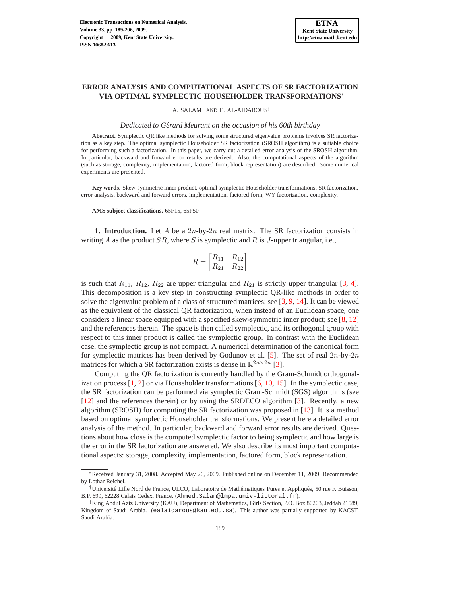## **ERROR ANALYSIS AND COMPUTATIONAL ASPECTS OF SR FACTORIZATION VIA OPTIMAL SYMPLECTIC HOUSEHOLDER TRANSFORMATIONS**<sup>∗</sup>

A. SALAM† AND E. AL-AIDAROUS‡

*Dedicated to Gerard Meurant on the occasion of his 60th birthday ´*

**Abstract.** Symplectic QR like methods for solving some structured eigenvalue problems involves SR factorization as a key step. The optimal symplectic Householder SR factorization (SROSH algorithm) is a suitable choice for performing such a factorization. In this paper, we carry out a detailed error analysis of the SROSH algorithm. In particular, backward and forward error results are derived. Also, the computational aspects of the algorithm (such as storage, complexity, implementation, factored form, block representation) are described. Some numerical experiments are presented.

**Key words.** Skew-symmetric inner product, optimal symplectic Householder transformations, SR factorization, error analysis, backward and forward errors, implementation, factored form, WY factorization, complexity.

## **AMS subject classifications.** 65F15, 65F50

**1. Introduction.** Let A be a  $2n$ -by- $2n$  real matrix. The SR factorization consists in writing A as the product  $SR$ , where S is symplectic and R is J-upper triangular, i.e.,

$$
R = \begin{bmatrix} R_{11} & R_{12} \\ R_{21} & R_{22} \end{bmatrix}
$$

is such that  $R_{11}$ ,  $R_{12}$ ,  $R_{22}$  are upper triangular and  $R_{21}$  is strictly upper triangular [\[3,](#page-17-0) [4](#page-17-1)]. This decomposition is a key step in constructing symplectic QR-like methods in order to solve the eigenvalue problem of a class of structured matrices; see [\[3](#page-17-0), [9,](#page-17-2) [14\]](#page-17-3). It can be viewed as the equivalent of the classical QR factorization, when instead of an Euclidean space, one considers a linear space equipped with a specified skew-symmetric inner product; see [\[8,](#page-17-4) [12\]](#page-17-5) and the references therein. The space is then called symplectic, and its orthogonal group with respect to this inner product is called the symplectic group. In contrast with the Euclidean case, the symplectic group is not compact. A numerical determination of the canonical form for symplectic matrices has been derived by Godunov et al. [\[5\]](#page-17-6). The set of real  $2n$ -by- $2n$ matrices for which a SR factorization exists is dense in  $\mathbb{R}^{2n \times 2n}$  [\[3\]](#page-17-0).

Computing the QR factorization is currently handled by the Gram-Schmidt orthogonalization process  $[1, 2]$  $[1, 2]$  $[1, 2]$  or via Householder transformations  $[6, 10, 15]$  $[6, 10, 15]$  $[6, 10, 15]$  $[6, 10, 15]$  $[6, 10, 15]$ . In the symplectic case, the SR factorization can be performed via symplectic Gram-Schmidt (SGS) algorithms (see [\[12](#page-17-5)] and the references therein) or by using the SRDECO algorithm [\[3\]](#page-17-0). Recently, a new algorithm (SROSH) for computing the SR factorization was proposed in [\[13\]](#page-17-12). It is a method based on optimal symplectic Householder transformations. We present here a detailed error analysis of the method. In particular, backward and forward error results are derived. Questions about how close is the computed symplectic factor to being symplectic and how large is the error in the SR factorization are answered. We also describe its most important computational aspects: storage, complexity, implementation, factored form, block representation.

<sup>∗</sup>Received January 31, 2008. Accepted May 26, 2009. Published online on December 11, 2009. Recommended by Lothar Reichel.

<sup>†</sup>Universit´e Lille Nord de France, ULCO, Laboratoire de Math´ematiques Pures et Appliqu´es, 50 rue F. Buisson, B.P. 699, 62228 Calais Cedex, France. (Ahmed. Salam@lmpa.univ-littoral.fr).

<sup>‡</sup>King Abdul Aziz University (KAU), Department of Mathematics, Girls Section, P.O. Box 80203, Jeddah 21589, Kingdom of Saudi Arabia. (ealaidarous@kau.edu.sa). This author was partially supported by KACST, Saudi Arabia.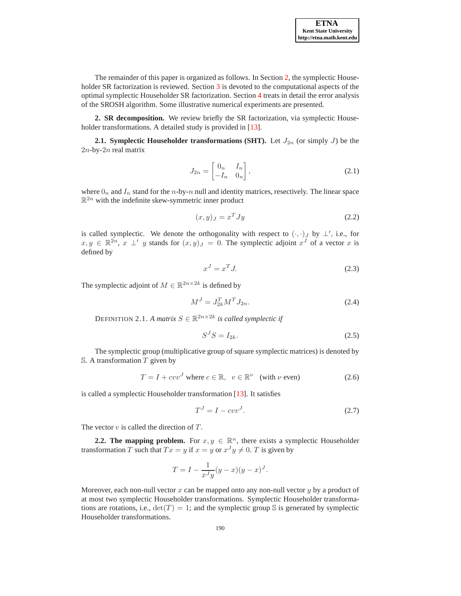The remainder of this paper is organized as follows. In Section [2,](#page-1-0) the symplectic House-holder SR factorization is reviewed. Section [3](#page-3-0) is devoted to the computational aspects of the optimal symplectic Householder SR factorization. Section [4](#page-9-0) treats in detail the error analysis of the SROSH algorithm. Some illustrative numerical experiments are presented.

<span id="page-1-0"></span>**2. SR decomposition.** We review briefly the SR factorization, via symplectic House-holder transformations. A detailed study is provided in [\[13](#page-17-12)].

**2.1. Symplectic Householder transformations (SHT).** Let  $J_{2n}$  (or simply J) be the  $2n$ -by- $2n$  real matrix

$$
J_{2n} = \begin{bmatrix} 0_n & I_n \\ -I_n & 0_n \end{bmatrix},\tag{2.1}
$$

where  $0_n$  and  $I_n$  stand for the n-by-n null and identity matrices, resectively. The linear space  $\mathbb{R}^{2n}$  with the indefinite skew-symmetric inner product

$$
(x,y)_J = x^T J y \tag{2.2}
$$

is called symplectic. We denote the orthogonality with respect to  $(\cdot, \cdot)_J$  by  $\perp'$ , i.e., for  $x, y \in \mathbb{R}^{2n}$ ,  $x \perp' y$  stands for  $(x, y)_J = 0$ . The symplectic adjoint  $x^J$  of a vector x is defined by

$$
x^J = x^T J. \tag{2.3}
$$

The symplectic adjoint of  $M \in \mathbb{R}^{2n \times 2k}$  is defined by

$$
M^J = J_{2k}^T M^T J_{2n}.
$$
\n(2.4)

DEFINITION 2.1. *A matrix*  $S \in \mathbb{R}^{2n \times 2k}$  *is called symplectic if* 

$$
S^J S = I_{2k}.\tag{2.5}
$$

The symplectic group (multiplicative group of square symplectic matrices) is denoted by  $S.$  A transformation  $T$  given by

$$
T = I + cvvJ \text{ where } c \in \mathbb{R}, \ v \in \mathbb{R}^{\nu} \text{ (with } \nu \text{ even)}
$$
 (2.6)

is called a symplectic Householder transformation [\[13\]](#page-17-12). It satisfies

<span id="page-1-1"></span>
$$
T^J = I - cvv^J. \tag{2.7}
$$

The vector  $v$  is called the direction of  $T$ .

**2.2. The mapping problem.** For  $x, y \in \mathbb{R}^n$ , there exists a symplectic Householder transformation T such that  $Tx = y$  if  $x = y$  or  $x^J y \neq 0$ . T is given by

$$
T = I - \frac{1}{x^J y} (y - x)(y - x)^J.
$$

Moreover, each non-null vector x can be mapped onto any non-null vector y by a product of at most two symplectic Householder transformations. Symplectic Householder transformations are rotations, i.e.,  $det(T) = 1$ ; and the symplectic group S is generated by symplectic Householder transformations.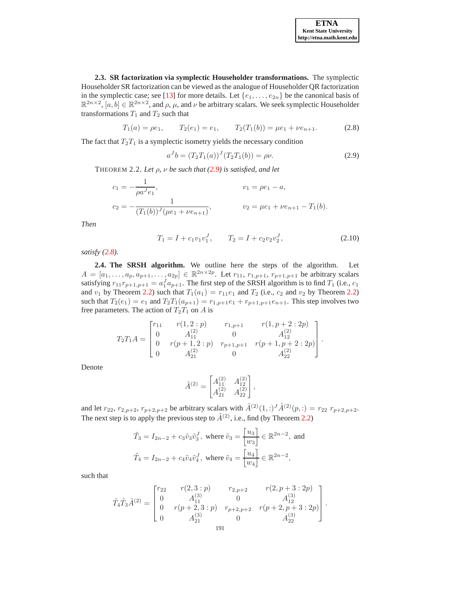.

**2.3. SR factorization via symplectic Householder transformations.** The symplectic Householder SR factorization can be viewed as the analogue of Householder QR factorization in the symplectic case; see [\[13\]](#page-17-12) for more details. Let  $\{e_1, \ldots, e_{2n}\}$  be the canonical basis of  $\mathbb{R}^{2n\times 2}$ ,  $[a, b] \in \mathbb{R}^{2n\times 2}$ , and  $\rho$ ,  $\mu$ , and  $\nu$  be arbitrary scalars. We seek symplectic Householder transformations  $T_1$  and  $T_2$  such that

<span id="page-2-1"></span>
$$
T_1(a) = \rho e_1, \qquad T_2(e_1) = e_1, \qquad T_2(T_1(b)) = \mu e_1 + \nu e_{n+1}.
$$
 (2.8)

The fact that  $T_2T_1$  is a symplectic isometry yields the necessary condition

<span id="page-2-0"></span>
$$
a^{J}b = (T_2T_1(a))^{J}(T_2T_1(b)) = \rho \nu.
$$
\n(2.9)

<span id="page-2-2"></span>THEOREM 2.2. *Let* ρ*,* ν *be such that [\(2.9\)](#page-2-0) is satisfied, and let*

$$
c_1 = -\frac{1}{\rho a^J e_1}, \qquad v_1 = \rho e_1 - a,
$$
  

$$
c_2 = -\frac{1}{(T_1(b))^J(\mu e_1 + \nu e_{n+1})}, \qquad v_2 = \mu e_1 + \nu e_{n+1} - T_1(b).
$$

*Then*

$$
T_1 = I + c_1 v_1 v_1^J, \qquad T_2 = I + c_2 v_2 v_2^J,
$$
\n(2.10)

*satisfy [\(2.8\)](#page-2-1).*

**2.4. The SRSH algorithm.** We outline here the steps of the algorithm. Let  $A = [a_1, \ldots, a_p, a_{p+1}, \ldots, a_{2p}] \in \mathbb{R}^{2n \times 2p}$ . Let  $r_{11}, r_{1,p+1}, r_{p+1,p+1}$  be arbitrary scalars satisfying  $r_{11}r_{p+1,p+1} = a_1^J a_{p+1}$ . The first step of the SRSH algorithm is to find  $T_1$  (i.e.,  $c_1$ ) and  $v_1$  by Theorem [2.2\)](#page-2-2) such that  $T_1(a_1) = r_{11}e_1$  and  $T_2$  (i.e.,  $c_2$  and  $v_2$  by Theorem 2.2) such that  $T_2(e_1) = e_1$  and  $T_2T_1(a_{p+1}) = r_{1,p+1}e_1 + r_{p+1,p+1}e_{n+1}$ . This step involves two free parameters. The action of  $T_2T_1$  on A is

$$
T_2T_1A = \begin{bmatrix} r_{11} & r(1,2:p) & r_{1,p+1} & r(1,p+2:2p) \\ 0 & A_{11}^{(2)} & 0 & A_{12}^{(2)} \\ 0 & r(p+1,2:p) & r_{p+1,p+1} & r(p+1,p+2:2p) \\ 0 & A_{21}^{(2)} & 0 & A_{22}^{(2)} \end{bmatrix}
$$

Denote

$$
\tilde{A}^{(2)} = \begin{bmatrix} A_{11}^{(2)} & A_{12}^{(2)} \\ A_{21}^{(2)} & A_{22}^{(2)} \end{bmatrix},
$$

and let  $r_{22}$ ,  $r_{2,p+2}$ ,  $r_{p+2,p+2}$  be arbitrary scalars with  $\tilde{A}^{(2)}(1,:)$  $\tilde{A}^{(2)}(p,:) = r_{22} r_{p+2,p+2}$ . The next step is to apply the previous step to  $\tilde{A}^{(2)}$ , i.e., find (by Theorem [2.2\)](#page-2-2)

$$
\tilde{T}_3 = I_{2n-2} + c_3 \tilde{v}_3 \tilde{v}_3^J, \text{ where } \tilde{v}_3 = \begin{bmatrix} u_3 \\ w_3 \end{bmatrix} \in \mathbb{R}^{2n-2}, \text{ and}
$$
\n
$$
\tilde{T}_4 = I_{2n-2} + c_4 \tilde{v}_4 \tilde{v}_4^J, \text{ where } \tilde{v}_4 = \begin{bmatrix} u_4 \\ w_4 \end{bmatrix} \in \mathbb{R}^{2n-2},
$$

such that

$$
\tilde{T}_4 \tilde{T}_3 \tilde{A}^{(2)} = \begin{bmatrix} r_{22} & r(2,3:p) & r_{2,p+2} & r(2,p+3:2p) \\ 0 & A_{11}^{(3)} & 0 & A_{12}^{(3)} \\ 0 & r(p+2,3:p) & r_{p+2,p+2} & r(p+2,p+3:2p) \\ 0 & A_{21}^{(3)} & 0 & A_{22}^{(3)} \end{bmatrix}.
$$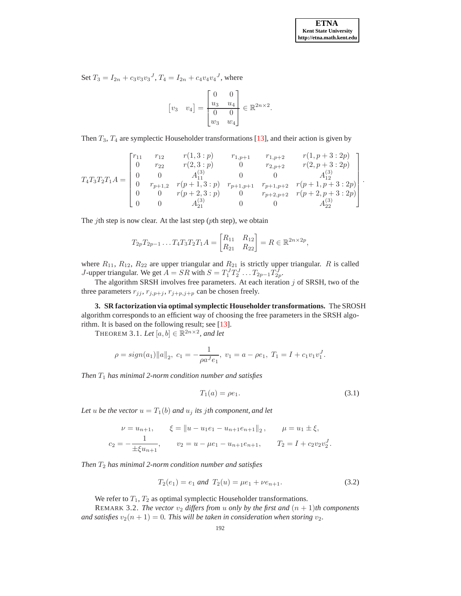Set  $T_3 = I_{2n} + c_3v_3v_3^J$ ,  $T_4 = I_{2n} + c_4v_4v_4^J$ , where

$$
\begin{bmatrix} v_3 & v_4 \end{bmatrix} = \begin{bmatrix} 0 & 0 \\ \frac{u_3}{u_4} & \frac{u_4}{u_4} \\ w_3 & w_4 \end{bmatrix} \in \mathbb{R}^{2n \times 2}.
$$

Then  $T_3$ ,  $T_4$  are symplectic Householder transformations [\[13](#page-17-12)], and their action is given by

$$
T_{4}T_{3}T_{2}T_{1}A = \begin{bmatrix} r_{11} & r_{12} & r(1,3:p) & r_{1,p+1} & r_{1,p+2} & r(1,p+3:2p) \\ 0 & r_{22} & r(2,3:p) & 0 & r_{2,p+2} & r(2,p+3:2p) \\ 0 & 0 & A_{11}^{(3)} & 0 & 0 & A_{12}^{(3)} \\ 0 & r_{p+1,2} & r(p+1,3:p) & r_{p+1,p+1} & r_{p+1,p+2} & r(p+1,p+3:2p) \\ 0 & 0 & r(p+2,3:p) & 0 & r_{p+2,p+2} & r(p+2,p+3:2p) \\ 0 & 0 & A_{21}^{(3)} & 0 & 0 & A_{22}^{(3)} \end{bmatrix}.
$$

The *i*th step is now clear. At the last step ( $p$ th step), we obtain

$$
T_{2p}T_{2p-1}\ldots T_4T_3T_2T_1A = \begin{bmatrix} R_{11} & R_{12} \\ R_{21} & R_{22} \end{bmatrix} = R \in \mathbb{R}^{2n \times 2p},
$$

where  $R_{11}$ ,  $R_{12}$ ,  $R_{22}$  are upper triangular and  $R_{21}$  is strictly upper triangular. R is called *J*-upper triangular. We get  $A = SR$  with  $S = T_1^J T_2^J \dots T_{2p-1}^J T_{2p}^J$ .

The algorithm SRSH involves free parameters. At each iteration  $j$  of SRSH, two of the three parameters  $r_{jj}$ ,  $r_{j,p+j}$ ,  $r_{j+p,j+p}$  can be chosen freely.

<span id="page-3-0"></span>**3. SR factorization via optimal symplectic Householder transformations.** The SROSH algorithm corresponds to an efficient way of choosing the free parameters in the SRSH algorithm. It is based on the following result; see [\[13](#page-17-12)].

THEOREM 3.1. Let  $[a, b] \in \mathbb{R}^{2n \times 2}$ , and let

$$
\rho = sign(a_1) \|a\|_2, \ c_1 = -\frac{1}{\rho a^J e_1}, \ v_1 = a - \rho e_1, \ T_1 = I + c_1 v_1 v_1^J.
$$

*Then* T<sup>1</sup> *has minimal 2-norm condition number and satisfies*

<span id="page-3-1"></span>
$$
T_1(a) = \rho e_1. \t\t(3.1)
$$

Let u be the vector  $u = T_1(b)$  and  $u_j$  *its jth component, and let* 

$$
\nu = u_{n+1}, \qquad \xi = \|u - u_1 e_1 - u_{n+1} e_{n+1}\|_2, \qquad \mu = u_1 \pm \xi,
$$
  

$$
c_2 = -\frac{1}{\pm \xi u_{n+1}}, \qquad v_2 = u - \mu e_1 - u_{n+1} e_{n+1}, \qquad T_2 = I + c_2 v_2 v_2^J.
$$

*Then*  $T_2$  *has minimal 2-norm condition number and satisfies* 

$$
T_2(e_1) = e_1 \text{ and } T_2(u) = \mu e_1 + \nu e_{n+1}.
$$
 (3.2)

We refer to  $T_1, T_2$  as optimal symplectic Householder transformations.

REMARK 3.2. The vector  $v_2$  differs from u only by the first and  $(n + 1)$ th components *and satisfies*  $v_2(n + 1) = 0$ *. This will be taken in consideration when storing*  $v_2$ *.*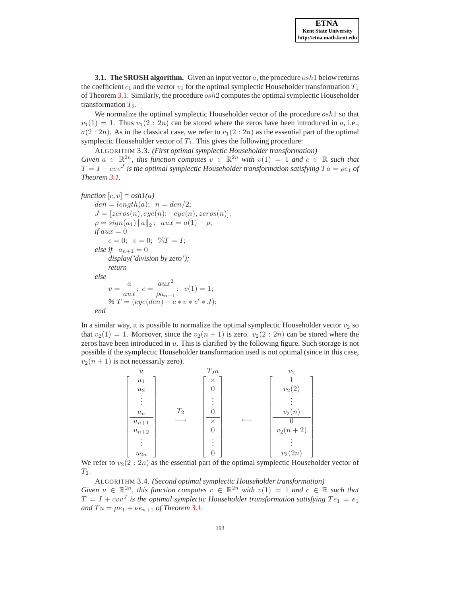**3.1. The SROSH algorithm.** Given an input vector  $a$ , the procedure  $osh 1$  below returns the coefficient  $c_1$  and the vector  $v_1$  for the optimal symplectic Householder transformation  $T_1$ of Theorem [3.1.](#page-3-1) Similarly, the procedure osh2 computes the optimal symplectic Householder transformation  $T_2$ .

We normalize the optimal symplectic Householder vector of the procedure  $\alpha sh1$  so that  $v_1(1) = 1$ . Thus  $v_1(2:2n)$  can be stored where the zeros have been introduced in a, i.e.,  $a(2:2n)$ . As in the classical case, we refer to  $v_1(2:2n)$  as the essential part of the optimal symplectic Householder vector of  $T_1$ . This gives the following procedure:

<span id="page-4-1"></span>ALGORITHM 3.3. *(First optimal symplectic Householder transformation) Given*  $a \in \mathbb{R}^{2n}$ , this function computes  $v \in \mathbb{R}^{2n}$  with  $v(1) = 1$  and  $c \in \mathbb{R}$  such that  $T = I + cvv^{J}$  is the optimal symplectic Householder transformation satisfying  $Ta = \rho e_1$  of *Theorem [3.1.](#page-3-1)*

```
function [c, v] = \text{osh}(a)den = length(a); \ \ n = den/2;J = [zeros(n), eye(n); -eye(n), zeros(n)];\rho = sign(a_1) \|a\|_2; \ \ aux = a(1) - \rho;if aux = 0c = 0; v = 0; \%T = I;else if a_{n+1} = 0display('division by zero');
      return
else
      v = \frac{a}{a}rac{a}{aux}; c = \frac{aux^2}{\rho a_{n+1}}\frac{a \sin \theta}{\rho a_{n+1}}; v(1) = 1;
      \% T = (eye(den) + c * v * v' * J);end
```
In a similar way, it is possible to normalize the optimal symplectic Householder vector  $v_2$  so that  $v_2(1) = 1$ . Moreover, since the  $v_2(n + 1)$  is zero.  $v_2(2 : 2n)$  can be stored where the zeros have been introduced in  $u$ . This is clarified by the following figure. Such storage is not possible if the symplectic Householder transformation used is not optimal (since in this case,  $v_2(n + 1)$  is not necessarily zero).



We refer to  $v_2(2:2n)$  as the essential part of the optimal symplectic Householder vector of  $T_2$ .

<span id="page-4-0"></span>ALGORITHM 3.4. *(Second optimal symplectic Householder transformation) Given*  $u \in \mathbb{R}^{2n}$ , this function computes  $v \in \mathbb{R}^{2n}$  with  $v(1) = 1$  and  $c \in \mathbb{R}$  such that  $T = I + cvv<sup>J</sup>$  is the optimal symplectic Householder transformation satisfying  $Te<sub>1</sub> = e<sub>1</sub>$ *and*  $Tu = \mu e_1 + \nu e_{n+1}$  *of Theorem [3.1.](#page-3-1)*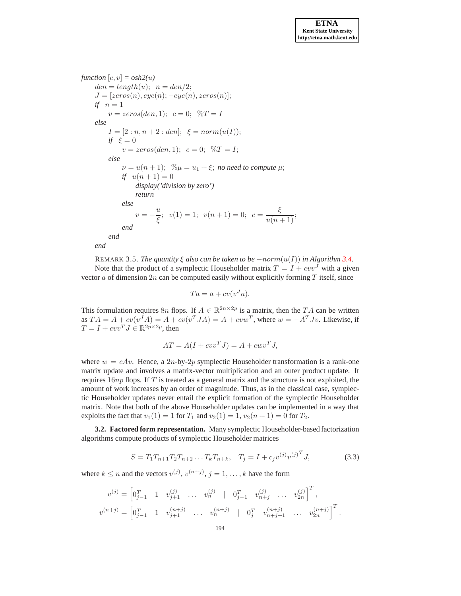*function*  $[c, v] = \text{osh}2(u)$  $den = length(u); \ \ n = den/2;$  $J = [zeros(n), eye(n); -eye(n), zeros(n)];$ *if*  $n=1$  $v = zeros(den, 1); c = 0; \%T = I$ *else*  $I = [2:n, n+2: den]; \xi = norm(u(I));$ *if*  $\xi = 0$  $v = zeros(den, 1); c = 0; \%T = I;$ *else*  $\nu = u(n+1); \quad % \omega = u_1 + \xi;$  *no need to compute*  $\mu;$ *if*  $u(n+1) = 0$ *display('division by zero') return else*  $v=-\frac{u}{\zeta}$  $\frac{u}{\xi}$ ;  $v(1) = 1$ ;  $v(n+1) = 0$ ;  $c = \frac{\xi}{u(n+1)}$ ; *end end end*

REMARK 3.5. *The quantity*  $\xi$  *also can be taken to be*  $-norm(u(I))$  *in Algorithm [3.4.](#page-4-0)* Note that the product of a symplectic Householder matrix  $T = I + cvv<sup>J</sup>$  with a given vector  $a$  of dimension  $2n$  can be computed easily without explicitly forming  $T$  itself, since

$$
Ta = a + cv(v^J a).
$$

This formulation requires 8n flops. If  $A \in \mathbb{R}^{2n \times 2p}$  is a matrix, then the TA can be written as  $TA = A + cv(v^T A) = A + cv(v^T JA) = A + cvw^T$ , where  $w = -A^T Jv$ . Likewise, if  $T = I + cvv^{T}J \in \mathbb{R}^{2p \times 2p}$ , then

$$
AT = A(I + cvvTJ) = A + cwvTJ,
$$

where  $w = cAv$ . Hence, a 2n-by-2p symplectic Householder transformation is a rank-one matrix update and involves a matrix-vector multiplication and an outer product update. It requires  $16np$  flops. If T is treated as a general matrix and the structure is not exploited, the amount of work increases by an order of magnitude. Thus, as in the classical case, symplectic Householder updates never entail the explicit formation of the symplectic Householder matrix. Note that both of the above Householder updates can be implemented in a way that exploits the fact that  $v_1(1) = 1$  for  $T_1$  and  $v_2(1) = 1$ ,  $v_2(n + 1) = 0$  for  $T_2$ .

**3.2. Factored form representation.** Many symplectic Householder-based factorization algorithms compute products of symplectic Householder matrices

<span id="page-5-0"></span>
$$
S = T_1 T_{n+1} T_2 T_{n+2} \dots T_k T_{n+k}, \quad T_j = I + c_j v^{(j)} v^{(j)}^T J,
$$
\n(3.3)

where  $k \le n$  and the vectors  $v^{(j)}$ ,  $v^{(n+j)}$ ,  $j = 1, ..., k$  have the form

$$
v^{(j)} = \begin{bmatrix} 0_{j-1}^T & 1 & v_{j+1}^{(j)} & \dots & v_n^{(j)} & | & 0_{j-1}^T & v_{n+j}^{(j)} & \dots & v_{2n}^{(j)} \end{bmatrix}^T,
$$
  

$$
v^{(n+j)} = \begin{bmatrix} 0_{j-1}^T & 1 & v_{j+1}^{(n+j)} & \dots & v_n^{(n+j)} & | & 0_j^T & v_{n+j+1}^{(n+j)} & \dots & v_{2n}^{(n+j)} \end{bmatrix}^T.
$$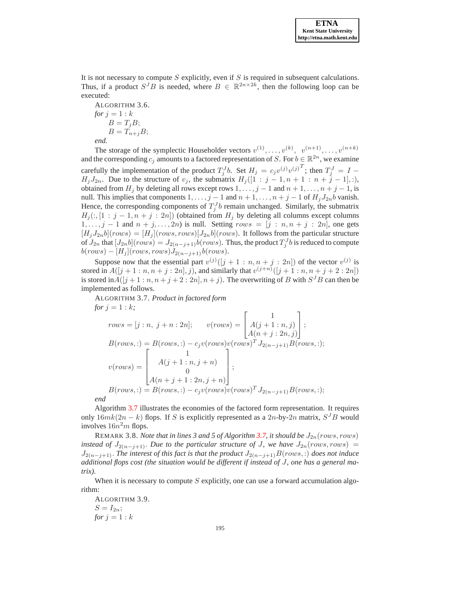It is not necessary to compute  $S$  explicitly, even if  $S$  is required in subsequent calculations. Thus, if a product  $S^{J}B$  is needed, where  $B \in \mathbb{R}^{2n \times 2k}$ , then the following loop can be executed:

ALGORITHM 3.6. *for*  $j = 1 : k$  $B=T_jB;$  $B=T_{n+j}B;$ 

*end.*

The storage of the symplectic Householder vectors  $v^{(1)}, \ldots, v^{(k)}, v^{(n+1)}, \ldots, v^{(n+k)}$ and the corresponding  $c_j$  amounts to a factored representation of S. For  $b \in \mathbb{R}^{2n}$ , we examine carefully the implementation of the product  $T_j^J b$ . Set  $H_j = c_j v^{(j)} v^{(j)T}$ ; then  $T_j^J = I H_jJ_{2n}$ . Due to the structure of  $v_j$ , the submatrix  $H_j([1 : j-1, n+1 : n+\tilde{j}-1],$ :), obtained from  $H_j$  by deleting all rows except rows  $1, \ldots, j-1$  and  $n+1, \ldots, n+j-1$ , is null. This implies that components  $1, \ldots, j-1$  and  $n+1, \ldots, n+j-1$  of  $H_j J_{2n} b$  vanish. Hence, the corresponding components of  $T_j^J b$  remain unchanged. Similarly, the submatrix  $H_i(:, [1 : j-1, n+j : 2n])$  (obtained from  $H_i$  by deleting all columns except columns  $1, \ldots, j-1$  and  $n + j, \ldots, 2n$  is null. Setting  $rows = [j : n, n + j : 2n]$ , one gets  $[H_jJ_{2n}b](rows) = [H_j](rows, rows)[J_{2n}b](rows)$ . It follows from the particular structure of  $J_{2n}$  that  $[J_{2n}b](rows) = J_{2(n-j+1)}b(rows)$ . Thus, the product  $T_j^Jb$  is reduced to compute  $b(rows) - [H_j](rows, rows)J_{2(n-j+1)}b(rows).$ 

Suppose now that the essential part  $v^{(j)}([j+1:n,n+j:2n])$  of the vector  $v^{(j)}$  is stored in  $A([j + 1 : n, n + j : 2n], j)$ , and similarly that  $v^{(j+n)}([j + 1 : n, n + j + 2 : 2n])$ is stored in  $A([j+1:n, n+j+2:2n], n+j)$ . The overwriting of B with  $S^{J}B$  can then be implemented as follows.

<span id="page-6-0"></span>ALGORITHM 3.7. *Product in factored form for*  $j = 1 : k$ ;  $rows = [j : n, j + n : 2n]; \quad v(rows) =$  $\sqrt{ }$  $\overline{1}$ 1  $A(j + 1:n, j)$  $A(n+j:2n,j)$ 1  $\vert$  $B(rows,:) = B(rows,:) - c_jv(rows)v(rows)^T J_{2(n-j+1)}B(rows,:);$  $v(rows) =$  $\lceil$  $\begin{matrix} \phantom{-} \end{matrix}$ 1  $A(j + 1:n, j + n)$ 0  $A(n+j+1:2n,j+n)$ 1  $\Bigg\}$ ;  $B(rows,:) = B(rows,:) - c_jv(rows)v(rows)^T J_{2(n-j+1)}B(rows,:);$ *end*

Algorithm [3.7](#page-6-0) illustrates the economies of the factored form representation. It requires only  $16mk(2n - k)$  flops. If S is explicitly represented as a 2n-by-2n matrix,  $S^{J}B$  would involves  $16n^2m$  flops.

REMARK 3.8. *Note that in lines 3 and 5 of Algorithm [3.7,](#page-6-0) it should be*  $J_{2n}(rows, rows)$ *instead of*  $J_{2(n-j+1)}$ *. Due to the particular structure of* J*, we have*  $J_{2n}(rows, rows)$  =  $J_{2(n-j+1)}$ . The interest of this fact is that the product  $J_{2(n-j+1)}B(rows,.)$  does not induce *additional flops cost (the situation would be different if instead of* J*, one has a general matrix).*

When it is necessary to compute  $S$  explicitly, one can use a forward accumulation algorithm:

ALGORITHM 3.9.  $S=I_{2n};$ *for*  $j = 1 : k$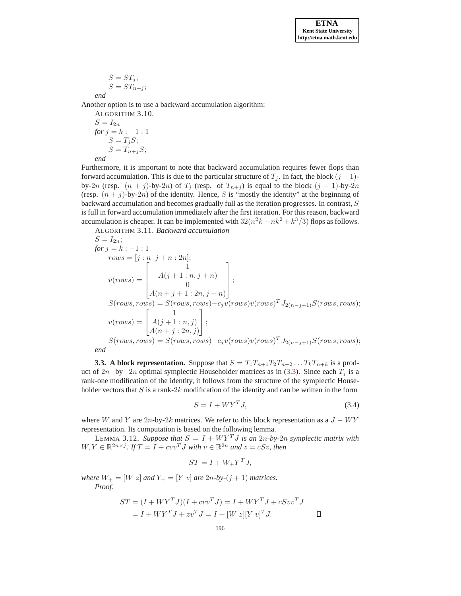$$
S = ST_j;
$$
  

$$
S = ST_{n+j};
$$

*end*

Another option is to use a backward accumulation algorithm:

ALGORITHM 3.10.  
\n
$$
S = I_{2n}
$$
\n
$$
for j = k : -1 : 1
$$
\n
$$
S = T_j S;
$$
\n
$$
S = T_{n+j} S;
$$
\n
$$
end
$$

Furthermore, it is important to note that backward accumulation requires fewer flops than forward accumulation. This is due to the particular structure of  $T_j$ . In fact, the block  $(j - 1)$ by-2n (resp.  $(n + j)$ -by-2n) of  $T_j$  (resp. of  $T_{n+j}$ ) is equal to the block  $(j - 1)$ -by-2n (resp.  $(n + j)$ -by-2n) of the identity. Hence, S is "mostly the identity" at the beginning of backward accumulation and becomes gradually full as the iteration progresses. In contrast, S is full in forward accumulation immediately after the first iteration. For this reason, backward accumulation is cheaper. It can be implemented with  $32(n^2k - nk^2 + k^3/3)$  flops as follows.

ALGORITHM 3.11. *Backward accumulation*

$$
S = I_{2n};
$$
  
\n
$$
for j = k : -1 : 1
$$
  
\n
$$
rows = [j : n j + n : 2n];
$$
  
\n
$$
v(rows) = \begin{bmatrix} 1 \\ A(j + 1 : n, j + n) \\ 0 \\ A(n + j + 1 : 2n, j + n) \end{bmatrix};
$$
  
\n
$$
S(rows, rows) = S(rows, rows) - c_j v(rows) v(rows)^T J_{2(n-j+1)} S(rows, rows);
$$
  
\n
$$
v(rows) = \begin{bmatrix} 1 \\ A(j + 1 : n, j) \\ A(n + j : 2n, j) \end{bmatrix};
$$
  
\n
$$
S(rows, rows) = S(rows, rows) - c_j v(rows) v(rows)^T J_{2(n-j+1)} S(rows, rows);
$$
  
\n
$$
end
$$

**3.3. A block representation.** Suppose that  $S = T_1T_{n+1}T_2T_{n+2} \dots T_kT_{n+k}$  is a prod-uct of 2n−by−2n optimal symplectic Householder matrices as in [\(3.3\)](#page-5-0). Since each  $T_j$  is a rank-one modification of the identity, it follows from the structure of the symplectic Householder vectors that  $S$  is a rank-2 $k$  modification of the identity and can be written in the form

<span id="page-7-1"></span><span id="page-7-0"></span>
$$
S = I + WY^T J,\tag{3.4}
$$

where W and Y are  $2n$ -by- $2k$  matrices. We refer to this block representation as a  $J - WY$ representation. Its computation is based on the following lemma.

LEMMA 3.12. *Suppose that*  $S = I + W Y^T J$  *is an 2n-by-2n symplectic matrix with*  $W, Y \in \mathbb{R}^{2n \times j}$ . If  $T = I + cvv^{T}J$  with  $v \in \mathbb{R}^{2n}$  and  $z = cSv$ , then

$$
ST = I + W_+ Y_+^T J,
$$

*where*  $W_+ = [W \; z]$  *and*  $Y_+ = [Y \; v]$  *are* 2*n*-*by*-(*j* + 1) *matrices. Proof.*

$$
ST = (I + WYTJ)(I + cvvTJ) = I + WYTJ + cSvvTJ
$$
  
= I + WY<sup>T</sup>J + zv<sup>T</sup>J = I + [W z][Y v]<sup>T</sup>J.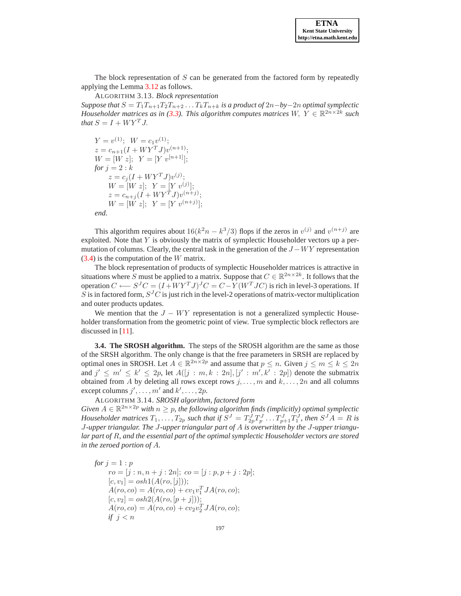The block representation of  $S$  can be generated from the factored form by repeatedly applying the Lemma [3.12](#page-7-0) as follows.

ALGORITHM 3.13. *Block representation*

*Suppose that*  $S = T_1T_{n+1}T_2T_{n+2} \ldots T_kT_{n+k}$  *is a product of*  $2n - by -2n$  *optimal symplectic Householder matrices as in [\(3.3\)](#page-5-0). This algorithm computes matrices*  $W, Y \in \mathbb{R}^{2n \times 2k}$  such *that*  $S = I + W Y^T J$ .

 $Y = v^{(1)}; \ W = c_1 v^{(1)};$  $z = c_{n+1}(I + WY^TJ)v^{(n+1)};$  $W = [W z]; Y = [Y] [v^{[n+1]}];$ *for*  $i = 2 : k$  $z = c_j (I + W Y^T J) v^{(j)};$  $W = [W z]; \ \ Y = [Y v^{(j)}];$  $z = c_{n+j}(I + WY^TJ)v^{(n+j)};$  $W = [W z]; \ \ Y = [Y v^{(n+j)}];$ *end.*

This algorithm requires about  $16(k^2n - k^3/3)$  flops if the zeros in  $v^{(j)}$  and  $v^{(n+j)}$  are exploited. Note that  $Y$  is obviously the matrix of symplectic Householder vectors up a permutation of columns. Clearly, the central task in the generation of the  $J - WY$  representation [\(3.4\)](#page-7-1) is the computation of the W matrix.

The block representation of products of symplectic Householder matrices is attractive in situations where S must be applied to a matrix. Suppose that  $C \in \mathbb{R}^{2n \times 2k}$ . It follows that the operation  $C \longleftarrow S^J C = (I + W Y^T J)^J C = C - Y(W^T J C)$  is rich in level-3 operations. If S is in factored form,  $S^{J}C$  is just rich in the level-2 operations of matrix-vector multiplication and outer products updates.

We mention that the  $J - WY$  representation is not a generalized symplectic Householder transformation from the geometric point of view. True symplectic block reflectors are discussed in [\[11](#page-17-13)].

**3.4. The SROSH algorithm.** The steps of the SROSH algorithm are the same as those of the SRSH algorithm. The only change is that the free parameters in SRSH are replaced by optimal ones in SROSH. Let  $A \in \mathbb{R}^{2n \times 2p}$  and assume that  $p \le n$ . Given  $j \le m \le k \le 2n$ and  $j' \leq m' \leq k' \leq 2p$ , let  $A([j : m, k : 2n], [j' : m', k' : 2p])$  denote the submatrix obtained from A by deleting all rows except rows  $j, \ldots, m$  and  $k, \ldots, 2n$  and all columns except columns  $j', \ldots, m'$  and  $k', \ldots, 2p$ .

ALGORITHM 3.14. *SROSH algorithm, factored form*

*Given*  $A \in \mathbb{R}^{2n \times 2p}$  *with*  $n \geq p$ *, the following algorithm finds (implicitly) optimal symplectic* Householder matrices  $T_1, \ldots, T_{2p}$  such that if  $S^J = T_{2p}^J T_p^J \ldots T_{p+1}^J T_1^J$ , then  $S^J A = R$  is J*-upper triangular. The* J*-upper triangular part of* A *is overwritten by the* J*-upper triangular part of* R*, and the essential part of the optimal symplectic Householder vectors are stored in the zeroed portion of* A*.*

*for*  $j = 1 : p$  $ro = [j : n, n + j : 2n]; co = [j : p, p + j : 2p];$  $[c, v_1] = \alpha sh1(A(ro, [j]))$ ;  $A(ro, co) = A(ro, co) + cv<sub>1</sub>v<sub>1</sub><sup>T</sup>JA(ro, co);$  $[c, v_2] = \alpha sh2(A(ro, [p + j]))$ ;  $A(ro, co) = A(ro, co) + cv_2v_2^TJA(ro, co);$ *if*  $j < n$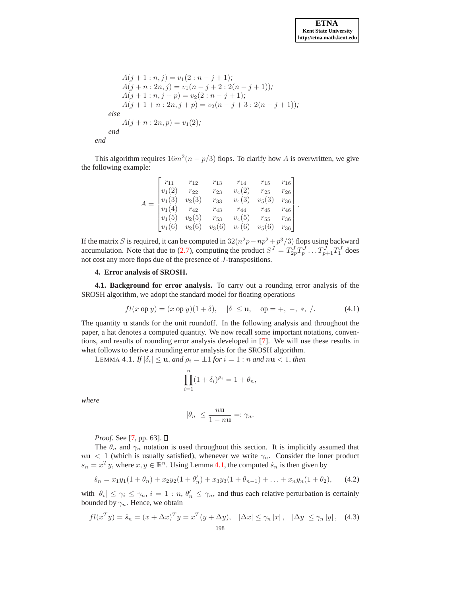.

$$
A(j + 1 : n, j) = v_1(2 : n - j + 1);
$$
  
\n
$$
A(j + n : 2n, j) = v_1(n - j + 2 : 2(n - j + 1));
$$
  
\n
$$
A(j + 1 : n, j + p) = v_2(2 : n - j + 1);
$$
  
\n
$$
A(j + 1 + n : 2n, j + p) = v_2(n - j + 3 : 2(n - j + 1));
$$
  
\nelse  
\n
$$
A(j + n : 2n, p) = v_1(2);
$$
  
\nend  
\nend

This algorithm requires  $16m^2(n - p/3)$  flops. To clarify how A is overwritten, we give the following example:

|  | $r_{11}$                                     | $r_{12}$          | $r_{13}$ | $r_{14}$ | $r_{15}$ | $r_{16}$ |
|--|----------------------------------------------|-------------------|----------|----------|----------|----------|
|  | $v_1(2)$                                     | $r_{22}$          | $r_{23}$ | $v_4(2)$ | $r_{25}$ | $r_{26}$ |
|  | $\begin{cases} v_1(3) \\ v_1(4) \end{cases}$ | $v_2(3)$          | $r_{33}$ | $v_4(3)$ | $v_5(3)$ | $r_{36}$ |
|  |                                              | $r_{42}$          | $r_{43}$ | $r_{44}$ | $r_{45}$ | $r_{46}$ |
|  | $ v_1(5) $                                   | $v_2(5)$ $r_{53}$ |          | $v_4(5)$ | $r_{55}$ | $r_{36}$ |
|  | $ v_1(6) $                                   | $v_2(6)$          | $v_3(6)$ | $v_4(6)$ | $v_5(6)$ | $r_{36}$ |

If the matrix S is required, it can be computed in  $32(n^2p - np^2 + p^3/3)$  flops using backward accumulation. Note that due to [\(2.7\)](#page-1-1), computing the product  $S^J = T^J_{2p} T^J_p \dots T^J_{p+1} T^J_1$  does not cost any more flops due of the presence of J-transpositions.

## <span id="page-9-0"></span>**4. Error analysis of SROSH.**

**4.1. Background for error analysis.** To carry out a rounding error analysis of the SROSH algorithm, we adopt the standard model for floating operations

$$
fl(x \text{ op } y) = (x \text{ op } y)(1 + \delta), \quad |\delta| \le \mathbf{u}, \quad \text{op} = +, -, *, /.
$$
 (4.1)

The quantity u stands for the unit roundoff. In the following analysis and throughout the paper, a hat denotes a computed quantity. We now recall some important notations, conventions, and results of rounding error analysis developed in [\[7\]](#page-17-14). We will use these results in what follows to derive a rounding error analysis for the SROSH algorithm.

<span id="page-9-1"></span>LEMMA 4.1.  $If$  $|\delta_i| \leq \mathbf{u}$ , and  $\rho_i = \pm 1$  for  $i = 1:n$  and  $n\mathbf{u} < 1$ , then

$$
\prod_{i=1}^{n} (1 + \delta_i)^{\rho_i} = 1 + \theta_n,
$$

*where*

$$
|\theta_n| \le \frac{n\mathbf{u}}{1 - n\mathbf{u}} =: \gamma_n.
$$

*Proof.* See [\[7](#page-17-14), pp. 63]. **□** 

The  $\theta_n$  and  $\gamma_n$  notation is used throughout this section. It is implicitly assumed that  $nu < 1$  (which is usually satisfied), whenever we write  $\gamma_n$ . Consider the inner product  $s_n = x^T y$ , where  $x, y \in \mathbb{R}^n$ . Using Lemma [4.1,](#page-9-1) the computed  $\hat{s}_n$  is then given by

$$
\hat{s}_n = x_1 y_1 (1 + \theta_n) + x_2 y_2 (1 + \theta'_n) + x_3 y_3 (1 + \theta_{n-1}) + \ldots + x_n y_n (1 + \theta_2), \qquad (4.2)
$$

with  $|\theta_i| \leq \gamma_i \leq \gamma_n$ ,  $i = 1 : n, \theta'_n \leq \gamma_n$ , and thus each relative perturbation is certainly bounded by  $\gamma_n$ . Hence, we obtain

<span id="page-9-2"></span>
$$
fl(x^T y) = \hat{s}_n = (x + \Delta x)^T y = x^T (y + \Delta y), \quad |\Delta x| \le \gamma_n |x|, \quad |\Delta y| \le \gamma_n |y|, \quad (4.3)
$$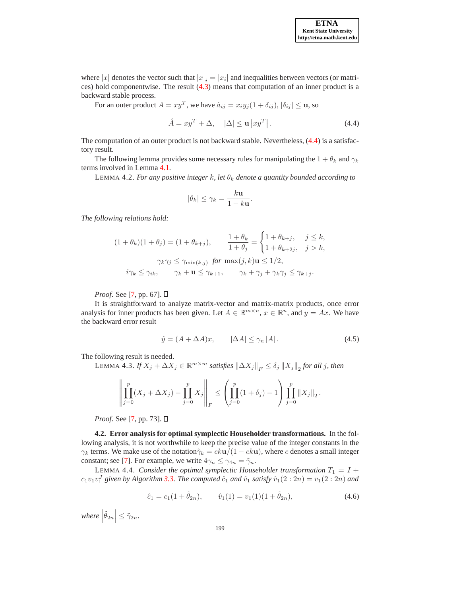where |x| denotes the vector such that  $|x|_i = |x_i|$  and inequalities between vectors (or matrices) hold componentwise. The result [\(4.3\)](#page-9-2) means that computation of an inner product is a backward stable process.

For an outer product  $A = xy^T$ , we have  $\hat{a}_{ij} = x_i y_j (1 + \delta_{ij}), |\delta_{ij}| \le \mathbf{u}$ , so

<span id="page-10-0"></span>
$$
\hat{A} = xy^T + \Delta, \quad |\Delta| \le \mathbf{u} \left| xy^T \right|.
$$
\n(4.4)

The computation of an outer product is not backward stable. Nevertheless, [\(4.4\)](#page-10-0) is a satisfactory result.

The following lemma provides some necessary rules for manipulating the  $1 + \theta_k$  and  $\gamma_k$ terms involved in Lemma [4.1.](#page-9-1)

LEMMA 4.2. *For any positive integer k, let*  $\theta_k$  *denote a quantity bounded according to* 

$$
|\theta_k| \leq \gamma_k = \frac{k\mathbf{u}}{1 - k\mathbf{u}}.
$$

*The following relations hold:*

$$
(1 + \theta_k)(1 + \theta_j) = (1 + \theta_{k+j}), \qquad \frac{1 + \theta_k}{1 + \theta_j} = \begin{cases} 1 + \theta_{k+j}, & j \le k, \\ 1 + \theta_{k+2j}, & j > k, \end{cases}
$$

$$
\gamma_k \gamma_j \le \gamma_{\min(k,j)} \text{ for } \max(j,k) \mathbf{u} \le 1/2,
$$

$$
i\gamma_k \le \gamma_{ik}, \qquad \gamma_k + \mathbf{u} \le \gamma_{k+1}, \qquad \gamma_k + \gamma_j + \gamma_k \gamma_j \le \gamma_{k+j}.
$$

*Proof.* See [\[7,](#page-17-14) pp. 67]. **□** 

It is straightforward to analyze matrix-vector and matrix-matrix products, once error analysis for inner products has been given. Let  $A \in \mathbb{R}^{m \times n}$ ,  $x \in \mathbb{R}^n$ , and  $y = Ax$ . We have the backward error result

<span id="page-10-3"></span>
$$
\hat{y} = (A + \Delta A)x, \qquad |\Delta A| \le \gamma_n |A|.
$$
\n(4.5)

The following result is needed.

 $\text{LEMMA } 4.3.$  *If*  $X_j + \Delta X_j \in \mathbb{R}^{m \times m}$  satisfies  $\|\Delta X_j\|_F \leq \delta_j \|X_j\|_2$  for all j, then

$$
\left\| \prod_{j=0}^p (X_j + \Delta X_j) - \prod_{j=0}^p X_j \right\|_F \le \left( \prod_{j=0}^p (1 + \delta_j) - 1 \right) \prod_{j=0}^p \|X_j\|_2.
$$

*Proof.* See [\[7,](#page-17-14) pp. 73]. **□** 

**4.2. Error analysis for optimal symplectic Householder transformations.** In the following analysis, it is not worthwhile to keep the precise value of the integer constants in the  $\gamma_k$  terms. We make use of the notation $\tilde{\gamma}_k = ck\mathbf{u}/(1 - ck\mathbf{u})$ , where c denotes a small integer constant; see [\[7\]](#page-17-14). For example, we write  $4\gamma_n \leq \gamma_{4n} = \tilde{\gamma}_n$ .

LEMMA 4.4. *Consider the optimal symplectic Householder transformation*  $T_1 = I +$  $c_1v_1v_1^J$  given by Algorithm [3.3.](#page-4-1) The computed  $\hat{c}_1$  and  $\hat{v}_1$  satisfy  $\hat{v}_1(2:2n) = v_1(2:2n)$  and

<span id="page-10-2"></span><span id="page-10-1"></span>
$$
\hat{c}_1 = c_1(1 + \tilde{\theta}_{2n}), \qquad \hat{v}_1(1) = v_1(1)(1 + \tilde{\theta}_{2n}), \tag{4.6}
$$

where  $|\tilde{\theta}_{2n}| \leq \tilde{\gamma}_{2n}$ .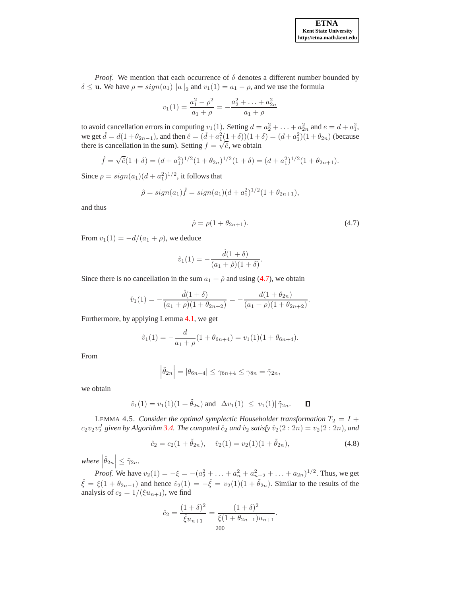*Proof.* We mention that each occurrence of  $\delta$  denotes a different number bounded by  $\delta \leq$  u. We have  $\rho = sign(a_1) ||a||_2$  and  $v_1(1) = a_1 - \rho$ , and we use the formula

$$
v_1(1) = \frac{a_1^2 - \rho^2}{a_1 + \rho} = -\frac{a_2^2 + \dots + a_{2n}^2}{a_1 + \rho}
$$

to avoid cancellation errors in computing  $v_1(1)$ . Setting  $d = a_2^2 + \ldots + a_{2n}^2$  and  $e = d + a_1^2$ , we get  $\hat{d} = d(1 + \theta_{2n-1})$ , and then  $\hat{e} = (\hat{d} + a_1^2(\hat{1} + \delta))(1 + \delta) = (d + a_1^2)(1 + \theta_{2n})$  (because there is cancellation in the sum). Setting  $f = \sqrt{\hat{e}}$ , we obtain

$$
\hat{f} = \sqrt{\hat{e}}(1+\delta) = (d+a_1^2)^{1/2}(1+\theta_{2n})^{1/2}(1+\delta) = (d+a_1^2)^{1/2}(1+\theta_{2n+1}).
$$

Since  $\rho = sign(a_1)(d + a_1^2)^{1/2}$ , it follows that

$$
\hat{\rho} = sign(a_1)\hat{f} = sign(a_1)(d + a_1^2)^{1/2}(1 + \theta_{2n+1}),
$$

and thus

<span id="page-11-0"></span>
$$
\hat{\rho} = \rho (1 + \theta_{2n+1}). \tag{4.7}
$$

.

From  $v_1(1) = -d/(a_1 + \rho)$ , we deduce

$$
\hat{v}_1(1) = -\frac{\hat{d}(1+\delta)}{(a_1+\hat{\rho})(1+\delta)}.
$$

Since there is no cancellation in the sum  $a_1 + \hat{\rho}$  and using [\(4.7\)](#page-11-0), we obtain

$$
\hat{v}_1(1) = -\frac{\hat{d}(1+\delta)}{(a_1+\rho)(1+\theta_{2n+2})} = -\frac{d(1+\theta_{2n})}{(a_1+\rho)(1+\theta_{2n+2})}
$$

Furthermore, by applying Lemma [4.1,](#page-9-1) we get

$$
\hat{v}_1(1) = -\frac{d}{a_1 + \rho}(1 + \theta_{6n+4}) = v_1(1)(1 + \theta_{6n+4}).
$$

From

$$
\left|\tilde{\theta}_{2n}\right| = \left|\theta_{6n+4}\right| \leq \gamma_{6n+4} \leq \gamma_{8n} = \tilde{\gamma}_{2n},
$$

we obtain

$$
\hat{v}_1(1) = v_1(1)(1 + \tilde{\theta}_{2n})
$$
 and  $|\Delta v_1(1)| \le |v_1(1)| \tilde{\gamma}_{2n}$ .  $\Box$ 

<span id="page-11-1"></span>LEMMA 4.5. *Consider the optimal symplectic Householder transformation*  $T_2 = I +$  $c_2v_2v_2^J$  given by Algorithm [3.4.](#page-4-0) The computed  $\hat{c}_2$  and  $\hat{v}_2$  satisfy  $\hat{v}_2(2:2n) = v_2(2:2n)$ , and

$$
\hat{c}_2 = c_2(1 + \tilde{\theta}_{2n}), \quad \hat{v}_2(1) = v_2(1)(1 + \tilde{\theta}_{2n}), \tag{4.8}
$$

where  $|\tilde{\theta}_{2n}| \leq \tilde{\gamma}_{2n}$ .  $\overline{a}$ 

*Proof.* We have  $v_2(1) = -\xi = -(a_2^2 + \ldots + a_n^2 + a_{n+2}^2 + \ldots + a_{2n})^{1/2}$ . Thus, we get  $\hat{\xi} = \xi(1 + \theta_{2n-1})$  and hence  $\hat{v}_2(1) = -\hat{\xi} = v_2(1)(1 + \tilde{\theta}_{2n})$ . Similar to the results of the analysis of  $c_2 = 1/(\xi u_{n+1})$ , we find

$$
\hat{c}_2 = \frac{(1+\delta)^2}{\hat{\xi}u_{n+1}} = \frac{(1+\delta)^2}{\hat{\xi}(1+\theta_{2n-1})u_{n+1}}.
$$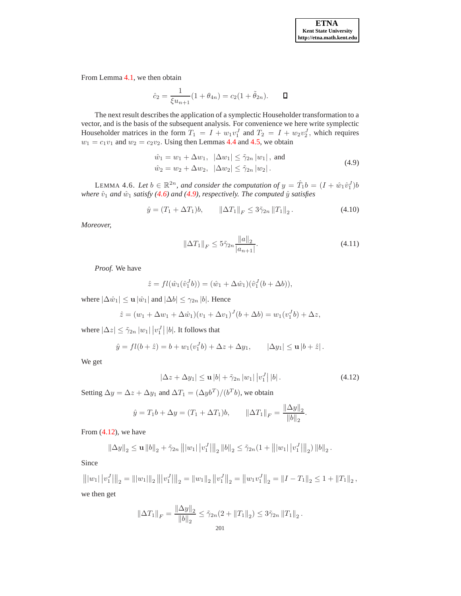From Lemma [4.1,](#page-9-1) we then obtain

$$
\hat{c}_2 = \frac{1}{\xi u_{n+1}} (1 + \theta_{4n}) = c_2 (1 + \tilde{\theta}_{2n}). \qquad \Box
$$

The next result describes the application of a symplectic Householder transformation to a vector, and is the basis of the subsequent analysis. For convenience we here write symplectic Householder matrices in the form  $T_1 = I + w_1v_1^J$  and  $T_2 = I + w_2v_2^J$ , which requires  $w_1 = c_1v_1$  and  $w_2 = c_2v_2$ . Using then Lemmas [4.4](#page-10-1) and [4.5,](#page-11-1) we obtain

<span id="page-12-0"></span>
$$
\hat{w}_1 = w_1 + \Delta w_1, \ \ |\Delta w_1| \le \tilde{\gamma}_{2n} |w_1|, \text{ and}
$$
  
\n
$$
\hat{w}_2 = w_2 + \Delta w_2, \ |\Delta w_2| \le \tilde{\gamma}_{2n} |w_2|.
$$
\n(4.9)

<span id="page-12-3"></span>LEMMA 4.6. Let  $b \in \mathbb{R}^{2n}$ , and consider the computation of  $y = \hat{T}_1 b = (I + \hat{w}_1 \hat{v}_1^J) b$ *where*  $\hat{v}_1$  *and*  $\hat{w}_1$  *satisfy* [\(4.6\)](#page-10-2) *and* [\(4.9\)](#page-12-0)*, respectively. The computed*  $\hat{y}$  *satisfies* 

$$
\hat{y} = (T_1 + \Delta T_1)b, \qquad \|\Delta T_1\|_F \le 3\tilde{\gamma}_{2n} \|T_1\|_2. \tag{4.10}
$$

*Moreover,*

<span id="page-12-2"></span>
$$
\|\Delta T_1\|_F \le 5\tilde{\gamma}_{2n} \frac{\|a\|_2}{|a_{n+1}|}.\tag{4.11}
$$

*Proof.* We have

$$
\hat{z} = fl(\hat{w}_1(\hat{v}_1^J b)) = (\hat{w}_1 + \Delta \hat{w}_1)(\hat{v}_1^J (b + \Delta b)),
$$

where  $|\Delta \hat{w}_1| \leq \mathbf{u} |\hat{w}_1|$  and  $|\Delta b| \leq \gamma_{2n} |b|$ . Hence

$$
\hat{z} = (w_1 + \Delta w_1 + \Delta \hat{w}_1)(v_1 + \Delta v_1)^J(b + \Delta b) = w_1(v_1^J b) + \Delta z,
$$

where  $|\Delta z| \leq \tilde{\gamma}_{2n} |w_1| |v_1^J| |b|$ . It follows that

$$
\hat{y} = fl(b + \hat{z}) = b + w_1(v_1^J b) + \Delta z + \Delta y_1, \qquad |\Delta y_1| \le u |b + \hat{z}|.
$$

We get

<span id="page-12-1"></span>
$$
|\Delta z + \Delta y_1| \le \mathbf{u} |b| + \tilde{\gamma}_{2n} |w_1| |v_1^J| |b|.
$$
 (4.12)

Setting  $\Delta y = \Delta z + \Delta y_1$  and  $\Delta T_1 = (\Delta y_0)^T / (b^T b)$ , we obtain

$$
\hat{y} = T_1 b + \Delta y = (T_1 + \Delta T_1)b, \qquad \|\Delta T_1\|_F = \frac{\|\Delta y\|_2}{\|b\|_2}.
$$

From [\(4.12\)](#page-12-1), we have

$$
\|\Delta y\|_2 \le \mathbf{u} \|b\|_2 + \tilde{\gamma}_{2n} \| |w_1| |v_1^J| \|_2 \|b\|_2 \le \tilde{\gamma}_{2n} (1 + \| |w_1| |v_1^J| \|_2) \|b\|_2.
$$

Since

$$
\left\| |w_1| \, |v_1^J| \right\|_2 = \left\| |w_1| \right\|_2 \left\| |v_1^J| \right\|_2 = \left\| w_1 \right\|_2 \left\| v_1^J \right\|_2 = \left\| w_1 v_1^J \right\|_2 = \left\| I - T_1 \right\|_2 \le 1 + \left\| T_1 \right\|_2,
$$
  
we then get

$$
\|\Delta T_1\|_F = \frac{\|\Delta y\|_2}{\|b\|_2} \le \tilde{\gamma}_{2n}(2 + \|T_1\|_2) \le 3\tilde{\gamma}_{2n} \|T_1\|_2.
$$
  
201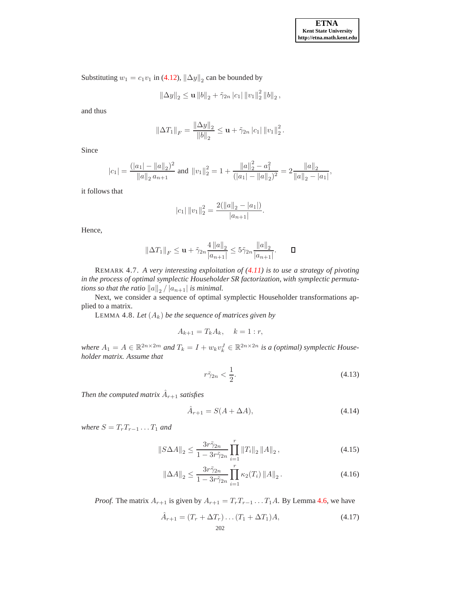Substituting  $w_1 = c_1 v_1$  in [\(4.12\)](#page-12-1),  $\|\Delta y\|_2$  can be bounded by

$$
\left\|\Delta y\right\|_2 \leq \mathbf{u} \left\|b\right\|_2 + \tilde{\gamma}_{2n} \left|c_1\right| \left\|v_1\right\|_2^2 \left\|b\right\|_2,
$$

and thus

$$
\left\|\Delta T_1\right\|_F = \frac{\left\|\Delta y\right\|_2}{\|b\|_2} \le \mathbf{u} + \tilde{\gamma}_{2n} \left|c_1\right| \|v_1\|_2^2.
$$

Since

$$
|c_1| = \frac{(|a_1| - ||a||_2)^2}{||a||_2 a_{n+1}}
$$
 and  $||v_1||_2^2 = 1 + \frac{||a||_2^2 - a_1^2}{(|a_1| - ||a||_2)^2} = 2 \frac{||a||_2}{||a||_2 - |a_1|}$ ,

it follows that

$$
|c_1| \|v_1\|_2^2 = \frac{2(||a||_2 - |a_1|)}{|a_{n+1}|}.
$$

Hence,

$$
\|\Delta T_1\|_F \le \mathbf{u} + \tilde{\gamma}_{2n} \frac{4 \, \|a\|_2}{|a_{n+1}|} \le 5\tilde{\gamma}_{2n} \frac{\|a\|_2}{|a_{n+1}|}. \qquad \Box
$$

REMARK 4.7. *A very interesting exploitation of [\(4.11\)](#page-12-2) is to use a strategy of pivoting in the process of optimal symplectic Householder SR factorization, with symplectic permutations so that the ratio*  $||a||_2 / |a_{n+1}|$  *is minimal.* 

Next, we consider a sequence of optimal symplectic Householder transformations applied to a matrix.

<span id="page-13-1"></span>LEMMA 4.8. Let  $(A_k)$  be the sequence of matrices given by

$$
A_{k+1} = T_k A_k, \quad k = 1 : r,
$$

where  $A_1 = A \in \mathbb{R}^{2n \times 2m}$  and  $T_k = I + w_k v_k^J \in \mathbb{R}^{2n \times 2n}$  *is a (optimal) symplectic Householder matrix. Assume that*

<span id="page-13-0"></span>
$$
r\tilde{\gamma}_{2n} < \frac{1}{2}.\tag{4.13}
$$

Then the computed matrix  $\hat{A}_{r+1}$  satisfies

$$
\hat{A}_{r+1} = S(A + \Delta A),\tag{4.14}
$$

*where*  $S = T_rT_{r-1} \ldots T_1$  *and* 

$$
||S\Delta A||_2 \le \frac{3r\tilde{\gamma}_{2n}}{1 - 3r\tilde{\gamma}_{2n}} \prod_{i=1}^r ||T_i||_2 ||A||_2 , \qquad (4.15)
$$

$$
\|\Delta A\|_2 \le \frac{3r\tilde{\gamma}_{2n}}{1 - 3r\tilde{\gamma}_{2n}} \prod_{i=1}^r \kappa_2(T_i) \|A\|_2.
$$
 (4.16)

*Proof.* The matrix  $A_{r+1}$  is given by  $A_{r+1} = T_r T_{r-1} \dots T_1 A$ . By Lemma [4.6,](#page-12-3) we have

$$
\hat{A}_{r+1} = (T_r + \Delta T_r) \dots (T_1 + \Delta T_1) A, \tag{4.17}
$$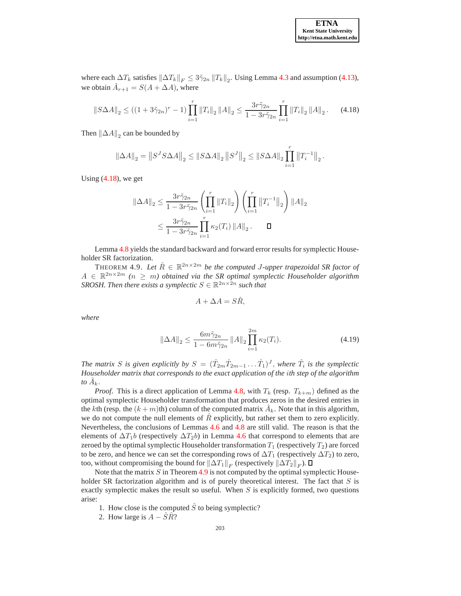where each  $\Delta T_k$  satisfies  $\|\Delta T_k\|_F \leq 3\tilde{\gamma}_{2n} \|T_k\|_2$ . Using Lemma [4.3](#page-10-3) and assumption [\(4.13\)](#page-13-0), we obtain  $\hat{A}_{r+1} = S(A + \Delta A)$ , where

<span id="page-14-0"></span>
$$
\|S\Delta A\|_2 \le \left( (1+3\tilde{\gamma}_{2n})^r - 1 \right) \prod_{i=1}^r \|T_i\|_2 \|A\|_2 \le \frac{3r\tilde{\gamma}_{2n}}{1-3r\tilde{\gamma}_{2n}} \prod_{i=1}^r \|T_i\|_2 \|A\|_2. \tag{4.18}
$$

Then  $\|\Delta A\|_2$  can be bounded by

$$
\left\|\Delta A\right\|_2=\left\|S^J S\Delta A\right\|_2\leq\left\|S\Delta A\right\|_2\left\|S^J\right\|_2\leq\left\|S\Delta A\right\|_2\prod_{i=1}^r\left\|T_i^{-1}\right\|_2.
$$

Using  $(4.18)$ , we get

$$
\|\Delta A\|_2 \le \frac{3r\tilde{\gamma}_{2n}}{1 - 3r\tilde{\gamma}_{2n}} \left(\prod_{i=1}^r \|T_i\|_2\right) \left(\prod_{i=1}^r \|T_i^{-1}\|_2\right) \|A\|_2
$$
  

$$
\le \frac{3r\tilde{\gamma}_{2n}}{1 - 3r\tilde{\gamma}_{2n}} \prod_{i=1}^r \kappa_2(T_i) \|A\|_2. \qquad \Box
$$

Lemma [4.8](#page-13-1) yields the standard backward and forward error results for symplectic Householder SR factorization.

THEOREM 4.9. Let  $\hat{R} \in \mathbb{R}^{2n \times 2m}$  be the computed *J*-upper trapezoidal SR factor of  $A \in \mathbb{R}^{2n \times 2m}$   $(n \geq m)$  obtained via the SR optimal symplectic Householder algorithm *SROSH. Then there exists a symplectic*  $S \in \mathbb{R}^{2n \times 2n}$  *such that* 

<span id="page-14-1"></span>
$$
A + \Delta A = S\hat{R},
$$

*where*

$$
\|\Delta A\|_2 \le \frac{6m\tilde{\gamma}_{2n}}{1 - 6m\tilde{\gamma}_{2n}} \|A\|_2 \prod_{i=1}^{2m} \kappa_2(T_i). \tag{4.19}
$$

The matrix S is given explicitly by  $S = (\hat{T}_{2m}\hat{T}_{2m-1} \dots \hat{T}_1)^J$ , where  $\hat{T}_i$  is the symplectic *Householder matrix that corresponds to the exact application of the* i*th step of the algorithm* to  $\hat{A}_k$ .

*Proof.* This is a direct application of Lemma [4.8,](#page-13-1) with  $T_k$  (resp.  $T_{k+m}$ ) defined as the optimal symplectic Householder transformation that produces zeros in the desired entries in the kth (resp. the  $(k+m)$ th) column of the computed matrix  $\hat{A}_k$ . Note that in this algorithm, we do not compute the null elements of  $\hat{R}$  explicitly, but rather set them to zero explicitly. Nevertheless, the conclusions of Lemmas [4.6](#page-12-3) and [4.8](#page-13-1) are still valid. The reason is that the elements of  $\Delta T_1b$  (respectively  $\Delta T_2b$ ) in Lemma [4.6](#page-12-3) that correspond to elements that are zeroed by the optimal symplectic Householder transformation  $T_1$  (respectively  $T_2$ ) are forced to be zero, and hence we can set the corresponding rows of  $\Delta T_1$  (respectively  $\Delta T_2$ ) to zero, too, without compromising the bound for  $\|\Delta T_1\|_F$  (respectively  $\|\Delta T_2\|_F$ ).

Note that the matrix  $S$  in Theorem [4.9](#page-14-1) is not computed by the optimal symplectic Householder SR factorization algorithm and is of purely theoretical interest. The fact that  $S$  is exactly symplectic makes the result so useful. When  $S$  is explicitly formed, two questions arise:

- 1. How close is the computed  $\hat{S}$  to being symplectic?
- 2. How large is  $A \hat{S}\hat{R}$ ?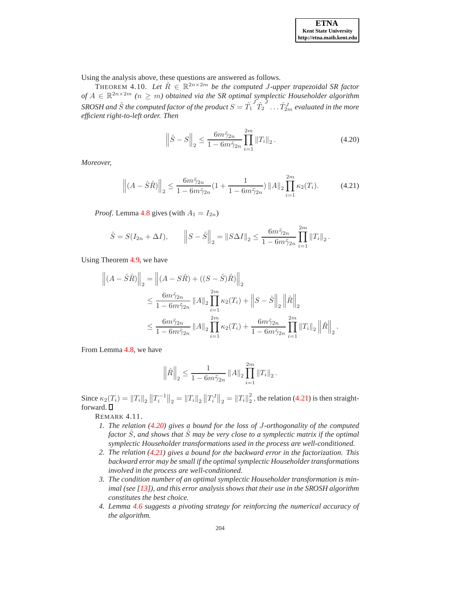.

Using the analysis above, these questions are answered as follows.

THEOREM 4.10. Let  $\hat{R} \in \mathbb{R}^{2n \times 2m}$  be the computed J-upper trapezoidal SR factor *of*  $A$  ∈  $\mathbb{R}^{2n \times 2m}$  ( $n \geq m$ ) obtained via the SR optimal symplectic Householder algorithm  $SROSH$  and  $\hat{S}$  the computed factor of the product  $S=\hat{T_1}$  ${}^J\hat{T}_2$  $J \ldots \hat{T}_{2m}^{J}$  evaluated in the more *efficient right-to-left order. Then*

<span id="page-15-1"></span>
$$
\left\|\hat{S} - S\right\|_2 \le \frac{6m\tilde{\gamma}_{2n}}{1 - 6m\tilde{\gamma}_{2n}} \prod_{i=1}^{2m} \|T_i\|_2.
$$
 (4.20)

*Moreover,*

<span id="page-15-0"></span>
$$
\left\| (A - \hat{S}\hat{R}) \right\|_2 \le \frac{6m\tilde{\gamma}_{2n}}{1 - 6m\tilde{\gamma}_{2n}} \left( 1 + \frac{1}{1 - 6m\tilde{\gamma}_{2n}} \right) \|A\|_2 \prod_{i=1}^{2m} \kappa_2(T_i). \tag{4.21}
$$

*Proof.* Lemma [4.8](#page-13-1) gives (with  $A_1 = I_{2n}$ )

$$
\hat{S} = S(I_{2n} + \Delta I),
$$
\n
$$
\left\| S - \hat{S} \right\|_2 = \|S\Delta I\|_2 \le \frac{6m\tilde{\gamma}_{2n}}{1 - 6m\tilde{\gamma}_{2n}} \prod_{i=1}^{2m} \|T_i\|_2.
$$

Using Theorem [4.9,](#page-14-1) we have

$$
\left\| (A - \hat{S}\hat{R}) \right\|_2 = \left\| (A - S\hat{R}) + ((S - \hat{S})\hat{R}) \right\|_2
$$
  

$$
\leq \frac{6m\tilde{\gamma}_{2n}}{1 - 6m\tilde{\gamma}_{2n}} \|A\|_2 \prod_{i=1}^{2m} \kappa_2(T_i) + \left\| S - \hat{S} \right\|_2 \left\| \hat{R} \right\|_2
$$
  

$$
\leq \frac{6m\tilde{\gamma}_{2n}}{1 - 6m\tilde{\gamma}_{2n}} \|A\|_2 \prod_{i=1}^{2m} \kappa_2(T_i) + \frac{6m\tilde{\gamma}_{2n}}{1 - 6m\tilde{\gamma}_{2n}} \prod_{i=1}^{2m} \|T_i\|_2 \left\| \hat{R} \right\|_2
$$

From Lemma [4.8,](#page-13-1) we have

$$
\left\|\hat{R}\right\|_2 \leq \frac{1}{1 - 6m\tilde{\gamma}_{2n}} \left\|A\right\|_2 \prod_{i=1}^{2m} \left\|T_i\right\|_2.
$$

Since  $\kappa_2(T_i) = ||T_i||_2 ||T_i^{-1}||_2 = ||T_i||_2 ||T_i^J||_2 = ||T_i||_2^2$  $\frac{2}{2}$ , the relation [\(4.21\)](#page-15-0) is then straightforward.  $\square$ 

REMARK 4.11.

- *1. The relation [\(4.20\)](#page-15-1) gives a bound for the loss of* J*-orthogonality of the computed factor*  $\hat{S}$ *, and shows that*  $\hat{S}$  *may be very close to a symplectic matrix if the optimal symplectic Householder transformations used in the process are well-conditioned.*
- *2. The relation [\(4.21\)](#page-15-0) gives a bound for the backward error in the factorization. This backward error may be small if the optimal symplectic Householder transformations involved in the process are well-conditioned.*
- *3. The condition number of an optimal symplectic Householder transformation is minimal (see [\[13](#page-17-12)]), and this error analysis shows that their use in the SROSH algorithm constitutes the best choice.*
- *4. Lemma [4.6](#page-12-3) suggests a pivoting strategy for reinforcing the numerical accuracy of the algorithm.*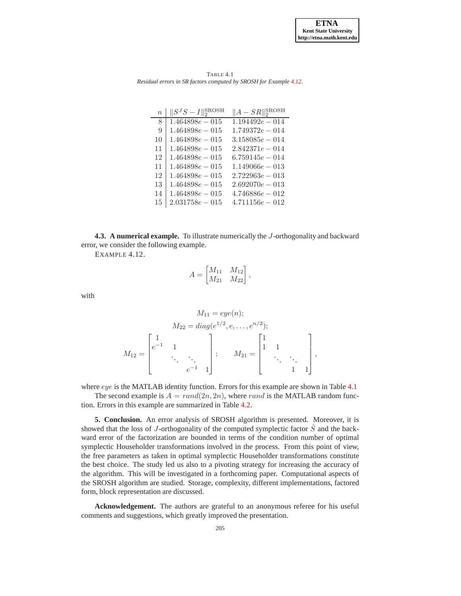

TABLE 4.1 *Residual errors in SR factors computed by SROSH for Example [4.12.](#page-16-0)*

<span id="page-16-1"></span>

| $\overline{n}$ | $  S^{J}S-I  _{2}^{\rm{SROSH}}$ | $  A - SR  ^{\text{SROSH}}_2$ |
|----------------|---------------------------------|-------------------------------|
| 8              | $1.464898e - 015$               | $1.194492e - 014$             |
| 9              | $1.464898e - 015$               | $1.749372e - 014$             |
| 10             | $1.464898e - 015$               | $3.158085e - 014$             |
| 11             | $1.464898e - 015$               | $2.842371e - 014$             |
| 12             | $1.464898e - 015$               | $6.759145e - 014$             |
| 11             | $1.464898e - 015$               | $1.149066e - 013$             |
| 12             | $1.464898e - 015$               | $2.722963e - 013$             |
| 13             | $1.464898e - 015$               | $2.692070e - 013$             |
| 14             | $1.464898e - 015$               | $4.746886e - 012$             |
| 15             | $2.031758e - 015$               | $4.711156e - 012$             |

<span id="page-16-0"></span>**4.3. A numerical example.** To illustrate numerically the J-orthogonality and backward error, we consider the following example.

EXAMPLE 4.12.

$$
A = \begin{bmatrix} M_{11} & M_{12} \\ M_{21} & M_{22} \end{bmatrix},
$$

with

$$
M_{11} = eye(n);
$$
  
\n
$$
M_{22} = diag(e^{1/2}, e, \dots, e^{n/2});
$$
  
\n
$$
M_{12} = \begin{bmatrix} 1 & & & \\ e^{-1} & 1 & & \\ & \ddots & \ddots & \\ & & e^{-1} & 1 \end{bmatrix}; \qquad M_{21} = \begin{bmatrix} 1 & & & \\ 1 & 1 & & \\ & \ddots & \ddots & \\ & & 1 & 1 \end{bmatrix},
$$

where eye is the MATLAB identity function. Errors for this example are shown in Table [4.1](#page-16-1)

The second example is  $A = rand(2n, 2n)$ , where rand is the MATLAB random function. Errors in this example are summarized in Table [4.2.](#page-17-15)

**5. Conclusion.** An error analysis of SROSH algorithm is presented. Moreover, it is showed that the loss of J-orthogonality of the computed symplectic factor  $\ddot{S}$  and the backward error of the factorization are bounded in terms of the condition number of optimal symplectic Householder transformations involved in the process. From this point of view, the free parameters as taken in optimal symplectic Householder transformations constitute the best choice. The study led us also to a pivoting strategy for increasing the accuracy of the algorithm. This will be investigated in a forthcoming paper. Computational aspects of the SROSH algorithm are studied. Storage, complexity, different implementations, factored form, block representation are discussed.

**Acknowledgement.** The authors are grateful to an anonymous referee for his useful comments and suggestions, which greatly improved the presentation.